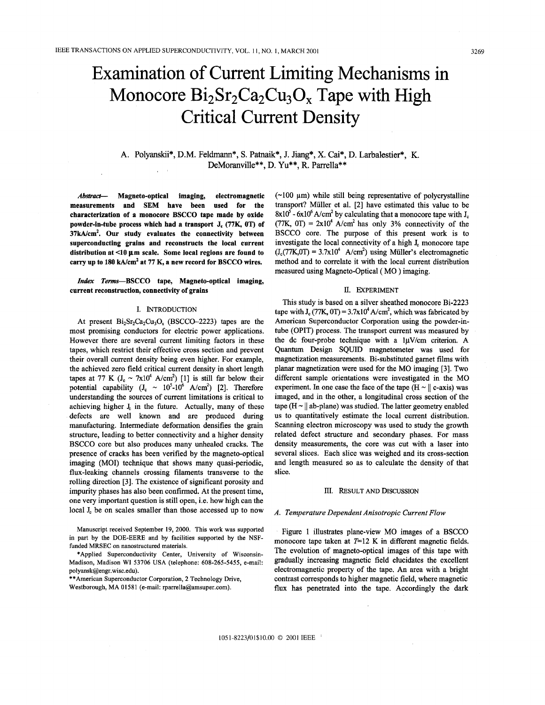# Examination of Current Limiting Mechanisms in Monocore  $Bi<sub>2</sub>Sr<sub>2</sub>Ca<sub>2</sub>Cu<sub>3</sub>O<sub>x</sub>$  Tape with High Critical Current Density

# **A.** Polyanskii\*, D.M. Feldmann\*, **S.** Patnaik\*, J. Jiang\*, **X.** Cai\*, **D.** Larbalestier\*, K. DeMoranville\*\*, D. Yu\*\*, R. Parrella\*\*

*Absfruct-* **Magneto-optical imaging, electromagnetic measurements and SEM have been used for the characterization of a monocore BSCCO tape made by oxide powder-in-tube process which had a transport J, (77K, OT) of 37kA/cmz. Our study evaluates the connectivity between superconducting grains and reconstructs the local current**  distribution at <10  $\mu$ m scale. Some local regions are found to **carry up to 180 kA/cm2 at 77 K, a new record for BSCCO wires.** 

*Index* **Terms-BSCCO tape, Magneto-optical imaging, current reconstruction, connectivity of grains** 

#### I. INTRODUCTION

At present  $Bi_2Sr_2Ca_2Cu_3O_x$  (BSCCO-2223) tapes are the most promising conductors for electric power applications. However there are several current limiting factors in these tapes, which restrict their effective cross section and prevent their overall current density being even higher. For example, the achieved zero field critical current density in short length tapes at 77 K ( $J_c \sim 7x10^4$  A/cm<sup>2</sup>) [1] is still far below their potential capability  $(J_c \sim 10^5 \text{-} 10^6 \text{ A/cm}^2)$  [2]. Therefore understanding the sources of current limitations is critical to achieving higher  $I<sub>c</sub>$  in the future. Actually, many of these defects are well known and are produced during manufacturing. Intermediate deformation densifies the grain structure, leading to better connectivity and a higher density BSCCO core but also produces many unhealed cracks. The presence **of** cracks has been verified by the magneto-optical imaging (MOI) technique that shows many quasi-periodic, flux-leaking channels crossing filaments transverse to the rolling direction [3]. The existence of significant porosity and impurity phases has also been confirmed. At the present time, one very important question is still open, i.e. how high can the local **J**<sub>c</sub> be on scales smaller than those accessed up to now

Manuscript received September 19, **2000.** This work was supported in part by the DOE-EERE and by facilities supported by the NSFfunded MRSEC on nanostructured materials.

\*Applied Superconductivity Center, University of Wisconsin-Madison, Madison WI **53706** USA (telephone: **608-265-5455,** e-mail: polyansk@engr.wisc.edu).

\*\*American Superconductor Corporation, **2** Technology Drive, Westborough, MA **01581** (e-mail: rparrella@amsuper.com).

 $(\sim 100 \mu m)$  while still being representative of polycrystalline transport? Muller et al. [2] have estimated this value to be  $8x10^5 - 6x10^6$  A/cm<sup>2</sup> by calculating that a monocore tape with J<sub>c</sub> (77K,  $0T$ ) = 2x10<sup>4</sup> A/cm<sup>2</sup> has only 3% connectivity of the BSCCO core. The purpose **of** this present work is to investigate the local connectivity of a high **J,** monocore tape  $(J_c(77K_0)T) = 3.7x10^4$  A/cm<sup>2</sup>) using Müller's electromagnetic method and to correlate it with the local current distribution measured using Magneto-Optical ( MO ) imaging.

#### II. EXPERIMENT

This study is based on a silver sheathed monocore Bi-2223 tape with  $J_c$  (77K, 0T) = 3.7x10<sup>4</sup> A/cm<sup>2</sup>, which was fabricated by American Superconductor Corporation using the powder-intube (OPIT) process. The transport current was measured by the dc four-probe technique with a  $1\mu$ V/cm criterion. A **Quantum** Design SQUID magnetometer was used for magnetization measurements. Bi-substituted garnet films with planar magnetization were used for the MO imaging [3]. Two different sample orientations were investigated in the MO experiment. In one case the face of the tape  $(H \sim || c\text{-axis})$  was imaged, and in the other, a longitudinal cross section of the tape ( $H \sim ||$  ab-plane) was studied. The latter geometry enabled us to quantitatively estimate the local current distribution. Scanning electron microscopy was used to study the growth related defect structure and secondary phases. For mass density measurements, **the** core was cut with a laser into several slices. Each slice was weighed and its cross-section and length measured so as to calculate the density **of** that slice.

#### III. RESULT AND DISCUSSION

### *A. Temperature Dependent Anisotropic Current Flow*

Figure 1 illustrates plane-view MO images of a BSCCO monocore tape taken at  $T=12$  K in different magnetic fields. The evolution **of** magneto-optical images **of** this tape with gradually increasing magnetic field elucidates the excellent electromagnetic property of the tape. *An* area with a bright contrast corresponds to higher magnetic field, where magnetic flux has penetrated into the tape. Accordingly the dark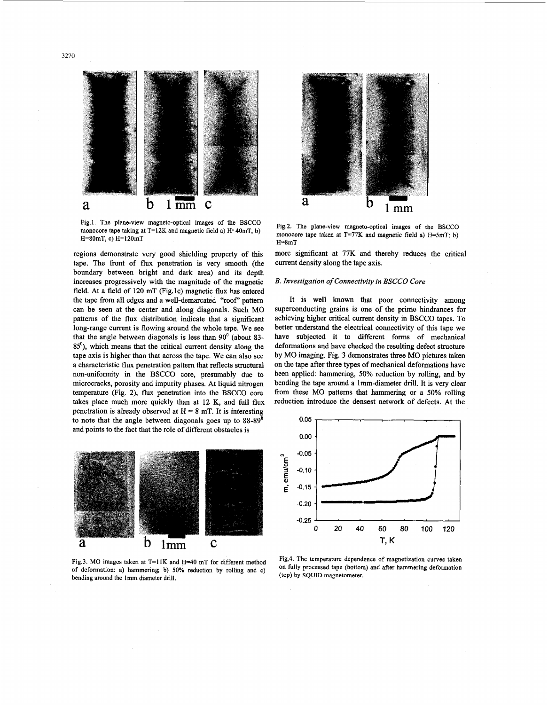

**Fig.1. The plane-view magneto-optical images** of **the BSCCO monocore tape taking at T=12K and magnetic field a) H=40mT, b) H=80mT, c) H=120mT** 

regions demonstrate very good shielding property of this tape. The front of flux penetration is very smooth (the boundary between bright and dark area) and its depth increases progressively with the magnitude of the magnetic field. At a field of 120 mT (Fig.1c) magnetic flux has entered the tape from all edges and a well-demarcated "roof" pattem can be seen at the center and along diagonals. Such MO patterns of the **flux** distribution indicate that a significant long-range current is flowing around the whole tape. We see that the angle between diagonals is less than **90'** (about **83- 85'),** which means that the critical current density along the tape axis is higher than that across the tape. We can also see a characteristic flux penetration pattern that reflects structural non-uniformity in the **BSCCO** core, presumably due to microcracks, porosity and impurity phases. At liquid nitrogen temperature (Fig. **2),** flux penetration into the **BSCCO** core takes place much more quickly than at 12 K, and full flux penetration is already observed at  $H = 8$  mT. It is interesting to note that the angle between diagonals goes up to **88-89'**  and points to the fact that the role of different obstacles **is** 



**Fig.3.** MO **images taken at T=llK and H=40 mT for different method**  of **deformation: a) hammering; b) 50% reduction by rolling and c) bending around the** lmm **diameter drill.** 



**Fig.2. The plane-view magneto-optical images of the BSCCO monocore tape taken at** T=77K **and magnetic field a)** H=SmT; b) **H=8mT** 

more significant at **77K** and thereby reduces the critical current density along the tape axis.

### *B. Investigation of Connectivity in BSCCO Core*

It is well known that poor connectivity among superconducting grains is one of the prime hindrances for achieving higher critical current density in **BSCCO** tapes. To better understand the electrical connectivity of this tape we have subjected it to different forms of mechanical deformations and have checked the resulting defect structure by MO imaging. Fig. **3** demonstrates three MO pictures taken on the tape after three types of mechanical deformations have been applied: hammering, 50% reduction by rolling, and by bending the tape around a lmm-diameter drill. It is very clear from these MO pattems that hammering or a 50% rolling reduction introduce the densest network of defects. At the



**Fig,4. The temperature dependence of magnetization curves taken on fully processed tape (bottom) and after hammering deformation (top) by SQUID magnetometer.**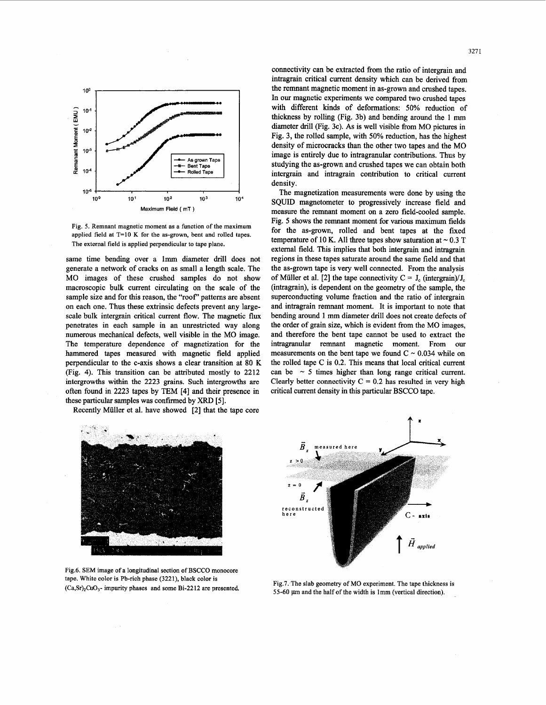

**Fig. 5. Remnant magnetic moment as a function of the maximum applied field at T=10 K for the as-grown, bent and rolled tapes. The external field is applied perpendicular to tape plane.** 

same time bending over a lmm diameter drill does not generate a network of cracks on as small a length scale. The MO images of these crushed samples do not show macroscopic bulk current circulating on the scale of the sample size and for this reason, the "roof' patterns are absent on each one. Thus these extrinsic defects prevent any largescale bulk intergrain critical current flow. The magnetic **flux**  penetrates in each sample in an unrestricted way along numerous mechanical defects, well visible in the MO image. The temperature dependence of magnetization for the hammered tapes measured with magnetic field applied perpendicular to the c-axis shows a clear transition at 80 K (Fig. **4).** This transition can be attributed mostly to **2212**  intergrowths within the **2223** grains. Such intergrowths are often found in 2223 tapes by TEM **[4]** and their presence in these particular samples was confirmed by XRD [5].

Recently Muller et al. have showed **[2]** that the tape core

connectivity can be extracted from the ratio of intergrain and intragrain critical current density which can be derived from the remnant magnetic moment in as-grown and crushed tapes. In our magnetic experiments we compared two crushed tapes with different kinds of deformations: 50% reduction of thickness by rolling (Fig. 3b) and bending around the 1 mm diameter drill (Fig. 3c). As is well visible from MO pictures in Fig. 3, the rolled sample, with 50% reduction, has the highest density of microcracks than the other two tapes and the MO image is entirely due to intragranular contributions. Thus by studying the as-grown and crushed tapes we can obtain both intergrain and intragrain contribution to critical current density.

The magnetization measurements were done by using the SQUID magnetometer to progressively increase field and measure the remnant moment on a zero field-cooled sample. Fig. 5 shows the remnant moment for various maximum fields for the as-grown, rolled and bent tapes at the fixed temperature of 10 K. All three tapes show saturation at  $\sim 0.3$  T external field. This implies that both intergrain and intragrain regions in these tapes saturate around the same field and that the as-grown tape is very well connected. From the analysis of Müller et al. [2] the tape connectivity  $C = J_0$  (intergrain)/J<sub>c</sub> (intragrain), is dependent on the geometry of the sample, the superconducting volume fraction and the ratio of intergrain and intragrain remnant moment. It is important to note that bending around **1** mm diameter drill does not create defects of the order of grain size, which is evident from the MO images, and therefore the bent tape cannot be used to extract the intragranular remnant magnetic moment. From our measurements on the bent tape we found  $C \sim 0.034$  while on the rolled tape C is 0.2. This means that local critical current can be  $\sim$  5 times higher than long range critical current. Clearly better connectivity  $C = 0.2$  has resulted in very high critical current density in this particular BSCCO tape.



**Fig.6. SEM image of a longitudinal section of BSCCO monocore tape. White color is Pb-rich phase (3221), black color is (Ca,Sr),CuO,- impurity phases and some Bi-2212 are presented. Fig.7. The slab geometry of** MO **experiment. The tape thickness is** 



55-60  $\mu$ m and the half of the width is 1mm (vertical direction).